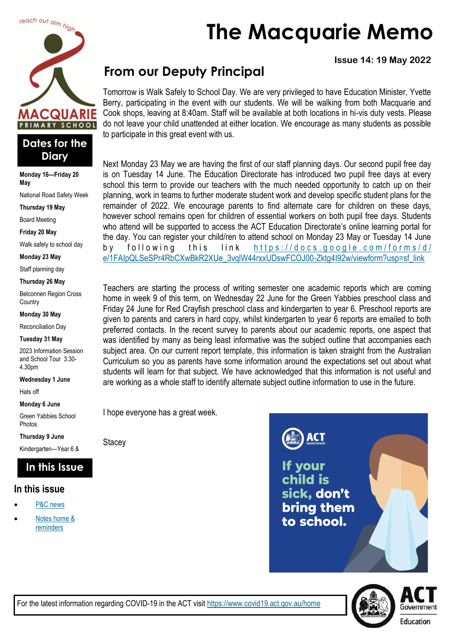



**Monday 16—Friday 20 May**

National Road Safety Week

**Thursday 19 May**

Board Meeting

**Friday 20 May**

Walk safely to school day

**Monday 23 May**

Staff planning day

#### **Thursday 26 May**

Belconnen Region Cross **Country** 

#### **Monday 30 May**

Reconciliation Day

#### **Tuesday 31 May**

2023 Information Session and School Tour 3.30- 4.30pm

**Wednesday 1 June**

Hats off

**Monday 6 June**

Green Yabbies School Photos

**Thursday 9 June**

Kindergarten—Year 6 &

### **In this Issue**

### **In this issue**

- [P&C news](#page-2-0)
- Notes home & [reminders](#page-3-0)

# **The Macquarie Memo**

**Issue 14: 19 May 2022**

# **From our Deputy Principal**

Tomorrow is Walk Safely to School Day. We are very privileged to have Education Minister, Yvette Berry, participating in the event with our students. We will be walking from both Macquarie and Cook shops, leaving at 8:40am. Staff will be available at both locations in hi-vis duty vests. Please do not leave your child unattended at either location. We encourage as many students as possible to participate in this great event with us.

Next Monday 23 May we are having the first of our staff planning days. Our second pupil free day is on Tuesday 14 June. The Education Directorate has introduced two pupil free days at every school this term to provide our teachers with the much needed opportunity to catch up on their planning, work in teams to further moderate student work and develop specific student plans for the remainder of 2022. We encourage parents to find alternate care for children on these days, however school remains open for children of essential workers on both pupil free days. Students who attend will be supported to access the ACT Education Directorate's online learning portal for the day. You can register your child/ren to attend school on Monday 23 May or Tuesday 14 June by following this link https://docs.google.com/forms/d/ [e/1FAIpQLSeSPr4RbCXwBkR2XUe\\_3vqlW44rxxUDswFCOJ00-Zktg4I92w/viewform?usp=sf\\_link](https://docs.google.com/forms/d/e/1FAIpQLSeSPr4RbCXwBkR2XUe_3vqlW44rxxUDswFCOJ00-Zktg4I92w/viewform?usp=sf_link)

Teachers are starting the process of writing semester one academic reports which are coming home in week 9 of this term, on Wednesday 22 June for the Green Yabbies preschool class and Friday 24 June for Red Crayfish preschool class and kindergarten to year 6. Preschool reports are given to parents and carers in hard copy, whilst kindergarten to year 6 reports are emailed to both preferred contacts. In the recent survey to parents about our academic reports, one aspect that was identified by many as being least informative was the subject outline that accompanies each subject area. On our current report template, this information is taken straight from the Australian Curriculum so you as parents have some information around the expectations set out about what students will learn for that subject. We have acknowledged that this information is not useful and are working as a whole staff to identify alternate subject outline information to use in the future.

I hope everyone has a great week.

**Stacey** 

**ACT** 

If your child is sick, don't bring them to school.

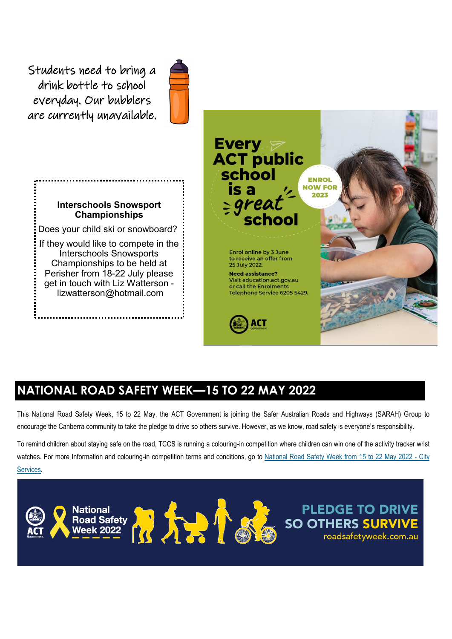Students need to bring a drink bottle to school everyday. Our bubblers are currently unavailable.



### **Interschools Snowsport Championships**

Does your child ski or snowboard?

If they would like to compete in the Interschools Snowsports Championships to be held at Perisher from 18-22 July please get in touch with Liz Watterson [lizwatterson@hotmail.com](mailto:lizwatterson@hotmail.com)



# **NATIONAL ROAD SAFETY WEEK—15 TO 22 MAY 2022**

This National Road Safety Week, 15 to 22 May, the ACT Government is joining the Safer Australian Roads and Highways (SARAH) Group to encourage the Canberra community to take the pledge to drive so others survive. However, as we know, road safety is everyone's responsibility.

To remind children about staying safe on the road, TCCS is running a colouring-in competition where children can win one of the activity tracker wrist watches. For more Information and colouring-in competition terms and conditions, go to [National Road Safety Week from 15 to 22 May 2022 -](https://www.cityservices.act.gov.au/news/news-and-events-items/may-2022/national-road-safety-week-from-15-to-22-may-2022) City [Services.](https://www.cityservices.act.gov.au/news/news-and-events-items/may-2022/national-road-safety-week-from-15-to-22-may-2022)

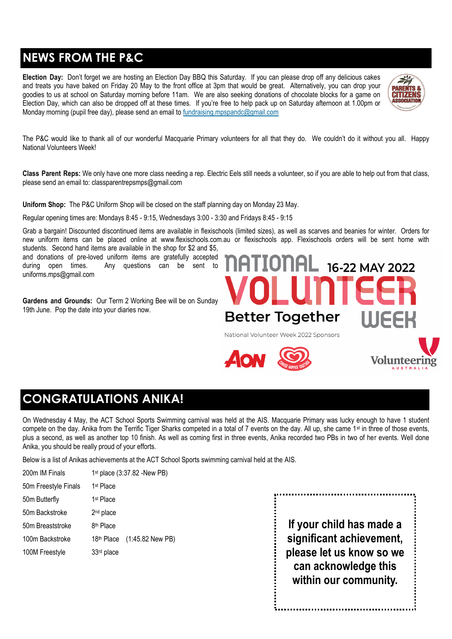# <span id="page-2-0"></span>**NEWS FROM THE P&C**

**Election Day:** Don't forget we are hosting an Election Day BBQ this Saturday. If you can please drop off any delicious cakes and treats you have baked on Friday 20 May to the front office at 3pm that would be great. Alternatively, you can drop your goodies to us at school on Saturday morning before 11am. We are also seeking donations of chocolate blocks for a game on Election Day, which can also be dropped off at these times. If you're free to help pack up on Saturday afternoon at 1.00pm or Monday morning (pupil free day), please send an email to fundraising mpspandc@gmail.com



Volunteerir

The P&C would like to thank all of our wonderful Macquarie Primary volunteers for all that they do. We couldn't do it without you all. Happy National Volunteers Week!

**Class Parent Reps:** We only have one more class needing a rep. Electric Eels still needs a volunteer, so if you are able to help out from that class, please send an email to: [classparentrepsmps@gmail.com](mailto:classparentrepsmps@gmail.com)

**Uniform Shop:** The P&C Uniform Shop will be closed on the staff planning day on Monday 23 May.

Regular opening times are: Mondays 8:45 - 9:15, Wednesdays 3:00 - 3:30 and Fridays 8:45 - 9:15

Grab a bargain! Discounted discontinued items are available in flexischools (limited sizes), as well as scarves and beanies for winter. Orders for new uniform items can be placed online at [www.flexischools.com.au o](https://aus01.safelinks.protection.outlook.com/?url=http%3A%2F%2Fwww.flexischools.com.au%2F&data=05%7C01%7C%7Cf3a047d340da49a764bd08da371ee463%7Cf1d4a8326c2144759bf48cc7e9044a29%7C0%7C0%7C637882903091388347%7CUnknown%7CTWFpbGZsb3d8eyJWIjoiMC4wLjAwMDAiLCJQIjoi)r flexischools app. Flexischools orders will be sent home with students. Second hand items are available in the shop for \$2 and \$5,

and donations of pre-loved uniform items are gratefully accepted during open times. Any questions can be sent to [uniforms.mps@gmail.com](mailto:uniforms.mps@gmail.com)

**Gardens and Grounds:** Our Term 2 Working Bee will be on Sunday 19th June. Pop the date into your diaries now.



# **CONGRATULATIONS ANIKA!**

On Wednesday 4 May, the ACT School Sports Swimming carnival was held at the AIS. Macquarie Primary was lucky enough to have 1 student compete on the day. Anika from the Terrific Tiger Sharks competed in a total of 7 events on the day. All up, she came 1<sup>st</sup> in three of those events, plus a second, as well as another top 10 finish. As well as coming first in three events, Anika recorded two PBs in two of her events. Well done Anika, you should be really proud of your efforts.

Below is a list of Anikas achievements at the ACT School Sports swimming carnival held at the AIS.

| 200m IM Finals       |                        | 1 <sup>st</sup> place (3:37.82 -New PB) |
|----------------------|------------------------|-----------------------------------------|
| 50m Freestyle Finals | 1 <sup>st</sup> Place  |                                         |
| 50m Butterfly        | 1 <sup>st</sup> Place  |                                         |
| 50m Backstroke       | 2 <sup>nd</sup> place  |                                         |
| 50m Breaststroke     | 8 <sup>th</sup> Place  |                                         |
| 100m Backstroke      |                        | 18th Place (1:45.82 New PB)             |
| 100M Freestyle       | 33 <sup>rd</sup> place |                                         |
|                      |                        |                                         |

**If your child has made a significant achievement, please let us know so we can acknowledge this within our community.**

.................................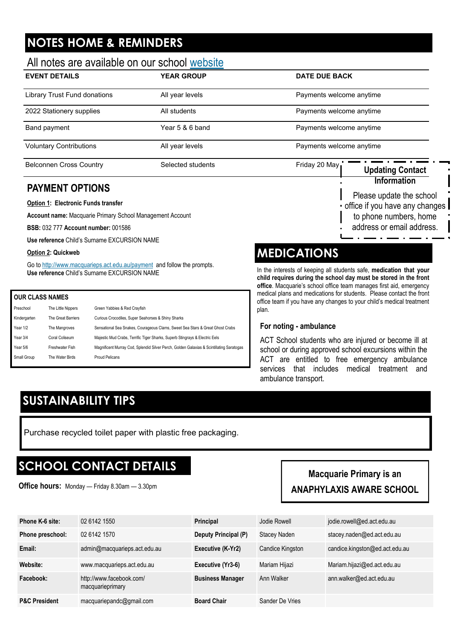# <span id="page-3-0"></span>**NOTES HOME & REMINDERS**

### All notes are available on our school [website](http://www.macquarieps.act.edu.au)

| <b>EVENT DETAILS</b>           | <b>YEAR GROUP</b> | <b>DATE DUE BACK</b>              |  |
|--------------------------------|-------------------|-----------------------------------|--|
| Library Trust Fund donations   | All year levels   | Payments welcome anytime          |  |
| 2022 Stationery supplies       | All students      | Payments welcome anytime          |  |
| Band payment                   | Year 5 & 6 band   | Payments welcome anytime          |  |
| <b>Voluntary Contributions</b> | All year levels   | Payments welcome anytime          |  |
| <b>Belconnen Cross Country</b> | Selected students | Friday 20 May<br>Indating Contact |  |

### **PAYMENT OPTIONS**

#### **Option 1: Electronic Funds transfer**

**Account name:** Macquarie Primary School Management Account

**BSB:** 032 777 **Account number:** 001586

**Use reference** Child's Surname EXCURSION NAME

#### **Option 2: Quickweb**

Go to <http://www.macquarieps.act.edu.au/payment>and follow the prompts. **Use reference** Child's Surname EXCURSION NAME

#### **OUR CLASS NAMES**

| Preschool    | The Little Nippers | Green Yabbies & Red Crayfish                                                             |
|--------------|--------------------|------------------------------------------------------------------------------------------|
| Kindergarten | The Great Barriers | Curious Crocodiles, Super Seahorses & Shiny Sharks                                       |
| Year 1/2     | The Mangroves      | Sensational Sea Snakes, Courageous Clams, Sweet Sea Stars & Great Ghost Crabs            |
| Year 3/4     | Coral Coliseum     | Majestic Mud Crabs, Terrific Tiger Sharks, Superb Stingrays & Electric Eels              |
| Year 5/6     | Freshwater Fish    | Magnificent Murray Cod, Splendid Silver Perch, Golden Galaxias & Scintillating Saratogas |
| Small Group  | The Water Birds    | <b>Proud Pelicans</b>                                                                    |
|              |                    |                                                                                          |



## **MEDICATIONS**

In the interests of keeping all students safe, **medication that your child requires during the school day must be stored in the front office**. Macquarie's school office team manages first aid, emergency medical plans and medications for students. Please contact the front office team if you have any changes to your child's medical treatment plan.

### **For noting - ambulance**

ACT School students who are injured or become ill at school or during approved school excursions within the ACT are entitled to free emergency ambulance services that includes medical treatment and ambulance transport.

## **SUSTAINABILITY TIPS**

Purchase recycled toilet paper with plastic free packaging.

### **SCHOOL CONTACT DETAILS**

**Office hours:** Monday — Friday 8.30am — 3.30pm

### **Macquarie Primary is an ANAPHYLAXIS AWARE SCHOOL**

| Phone K-6 site:          | 02 6142 1550                                 | Principal               | Jodie Rowell     | jodie.rowell@ed.act.edu.au     |
|--------------------------|----------------------------------------------|-------------------------|------------------|--------------------------------|
| Phone preschool:         | 02 6142 1570                                 | Deputy Principal (P)    | Stacey Naden     | stacey.naden@ed.act.edu.au     |
| Email:                   | admin@macquarieps.act.edu.au                 | Executive (K-Yr2)       | Candice Kingston | candice.kingston@ed.act.edu.au |
| Website:                 | www.macquarieps.act.edu.au                   | Executive (Yr3-6)       | Mariam Hijazi    | Mariam.hijazi@ed.act.edu.au    |
| Facebook:                | http://www.facebook.com/<br>macquarieprimary | <b>Business Manager</b> | Ann Walker       | ann.walker@ed.act.edu.au       |
| <b>P&amp;C President</b> | macquariepandc@gmail.com                     | <b>Board Chair</b>      | Sander De Vries  |                                |